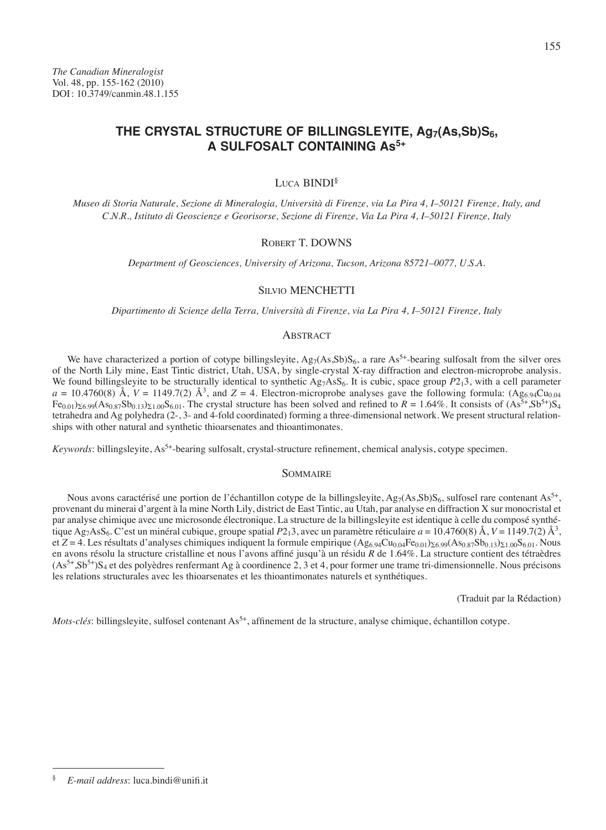# THE CRYSTAL STRUCTURE OF BILLINGSLEYITE, Ag<sub>7</sub>(As,Sb)S<sub>6</sub>, **A SULFOSALT CONTAINING As5+**

## Luca BINDI<sup>§</sup>

*Museo di Storia Naturale, Sezione di Mineralogia, Università di Firenze, via La Pira 4, I–50121 Firenze, Italy, and C.N.R., Istituto di Geoscienze e Georisorse, Sezione di Firenze, Via La Pira 4, I–50121 Firenze, Italy*

#### Robert T. DOWNS

*Department of Geosciences, University of Arizona, Tucson, Arizona 85721–0077, U.S.A.*

#### Silvio MENCHETTI

*Dipartimento di Scienze della Terra, Università di Firenze, via La Pira 4, I–50121 Firenze, Italy*

### **ABSTRACT**

We have characterized a portion of cotype billingsleyite,  $Ag_7(As, Sb)S_6$ , a rare  $As<sup>5+</sup>$ -bearing sulfosalt from the silver ores of the North Lily mine, East Tintic district, Utah, USA, by single-crystal X-ray diffraction and electron-microprobe analysis. We found billingsleyite to be structurally identical to synthetic  $Ag_7AsS_6$ . It is cubic, space group  $P2_13$ , with a cell parameter  $a = 10.4760(8)$  Å,  $V = 1149.7(2)$  Å<sup>3</sup>, and  $Z = 4$ . Electron-microprobe analyses gave the following formula: (Ag<sub>6.94</sub>Cu<sub>0.04</sub>)  $Fe_{0.01}$ )<sub>S6.99</sub>(As<sub>0.87</sub>Sb<sub>0.13</sub>)<sub>S1.00</sub>S<sub>6.01</sub>. The crystal structure has been solved and refined to *R* = 1.64%. It consists of (As<sup>5+</sup>,Sb<sup>5+</sup>)S<sub>4</sub> tetrahedra and Ag polyhedra (2-, 3- and 4-fold coordinated) forming a three-dimensional network. We present structural relationships with other natural and synthetic thioarsenates and thioantimonates.

*Keywords*: billingsleyite, As<sup>5+</sup>-bearing sulfosalt, crystal-structure refinement, chemical analysis, cotype specimen.

### **SOMMAIRE**

Nous avons caractérisé une portion de l'échantillon cotype de la billingsleyite, Ag7(As,Sb)S<sub>6</sub>, sulfosel rare contenant As<sup>5+</sup>, provenant du minerai d'argent à la mine North Lily, district de East Tintic, au Utah, par analyse en diffraction X sur monocristal et par analyse chimique avec une microsonde électronique. La structure de la billingsleyite est identique à celle du composé synthétique Ag7AsS6. C'est un minéral cubique, groupe spatial *P*213, avec un paramètre réticulaire *a* = 10.4760(8) Å, *V* = 1149.7(2) Å<sup>3</sup> , et  $Z = 4$ . Les résultats d'analyses chimiques indiquent la formule empirique  $(Ag_6.94Cu_{0.04}Fe_{0.01})_{\Sigma}6.99(As_{0.87}Sb_{0.13})_{\Sigma1.00}S_{6.01}$ . Nous en avons résolu la structure cristalline et nous l'avons affiné jusqu'à un résidu *R* de 1.64%. La structure contient des tétraèdres (As5+,Sb5+)S4 et des polyèdres renfermant Ag à coordinence 2, 3 et 4, pour former une trame tri-dimensionnelle. Nous précisons les relations structurales avec les thioarsenates et les thioantimonates naturels et synthétiques.

(Traduit par la Rédaction)

*Mots-clés*: billingsleyite, sulfosel contenant As<sup>5+</sup>, affinement de la structure, analyse chimique, échantillon cotype.

<sup>155</sup>

<sup>§</sup> *E-mail address*: luca.bindi@unifi.it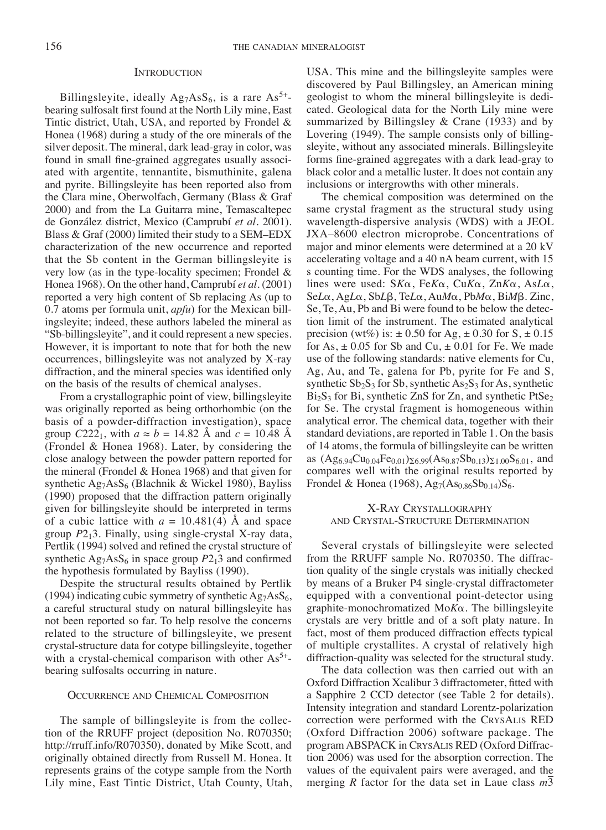#### **INTRODUCTION**

Billingsleyite, ideally  $Ag_7AsS_6$ , is a rare  $As^{5+}$ bearing sulfosalt first found at the North Lily mine, East Tintic district, Utah, USA, and reported by Frondel & Honea (1968) during a study of the ore minerals of the silver deposit. The mineral, dark lead-gray in color, was found in small fine-grained aggregates usually associated with argentite, tennantite, bismuthinite, galena and pyrite. Billingsleyite has been reported also from the Clara mine, Oberwolfach, Germany (Blass & Graf 2000) and from the La Guitarra mine, Temascaltepec de González district, Mexico (Camprubí *et al.* 2001). Blass & Graf (2000) limited their study to a SEM–EDX characterization of the new occurrence and reported that the Sb content in the German billingsleyite is very low (as in the type-locality specimen; Frondel & Honea 1968). On the other hand, Camprubí *et al.* (2001) reported a very high content of Sb replacing As (up to 0.7 atoms per formula unit, *apfu*) for the Mexican billingsleyite; indeed, these authors labeled the mineral as "Sb-billingsleyite", and it could represent a new species. However, it is important to note that for both the new occurrences, billingsleyite was not analyzed by X-ray diffraction, and the mineral species was identified only on the basis of the results of chemical analyses.

From a crystallographic point of view, billingsleyite was originally reported as being orthorhombic (on the basis of a powder-diffraction investigation), space group  $C222_1$ , with  $a \approx b = 14.82$  Å and  $c = 10.48$  Å (Frondel & Honea 1968). Later, by considering the close analogy between the powder pattern reported for the mineral (Frondel & Honea 1968) and that given for synthetic  $Ag_7AsS_6$  (Blachnik & Wickel 1980), Bayliss (1990) proposed that the diffraction pattern originally given for billingsleyite should be interpreted in terms of a cubic lattice with  $a = 10.481(4)$  Å and space group *P*213. Finally, using single-crystal X-ray data, Pertlik (1994) solved and refined the crystal structure of synthetic  $Ag_7AsS_6$  in space group  $P2_13$  and confirmed the hypothesis formulated by Bayliss (1990).

Despite the structural results obtained by Pertlik (1994) indicating cubic symmetry of synthetic  $Ag<sub>7</sub>AsS<sub>6</sub>$ , a careful structural study on natural billingsleyite has not been reported so far. To help resolve the concerns related to the structure of billingsleyite, we present crystal-structure data for cotype billingsleyite, together with a crystal-chemical comparison with other  $As<sup>5+</sup>$ bearing sulfosalts occurring in nature.

#### Occurrence and Chemical Composition

The sample of billingsleyite is from the collection of the RRUFF project (deposition No. R070350; http://rruff.info/R070350), donated by Mike Scott, and originally obtained directly from Russell M. Honea. It represents grains of the cotype sample from the North Lily mine, East Tintic District, Utah County, Utah, USA. This mine and the billingsleyite samples were discovered by Paul Billingsley, an American mining geologist to whom the mineral billingsleyite is dedicated. Geological data for the North Lily mine were summarized by Billingsley & Crane (1933) and by Lovering (1949). The sample consists only of billingsleyite, without any associated minerals. Billingsleyite forms fine-grained aggregates with a dark lead-gray to black color and a metallic luster. It does not contain any inclusions or intergrowths with other minerals.

The chemical composition was determined on the same crystal fragment as the structural study using wavelength-dispersive analysis (WDS) with a JEOL JXA–8600 electron microprobe. Concentrations of major and minor elements were determined at a 20 kV accelerating voltage and a 40 nA beam current, with 15 s counting time. For the WDS analyses, the following lines were used: S*K*a, Fe*K*a, Cu*K*a, Zn*K*a, As*L*a, Se*L*a, Ag*L*a, Sb*L*b, Te*L*a, Au*M*a, Pb*M*a, Bi*M*b. Zinc, Se, Te, Au, Pb and Bi were found to be below the detection limit of the instrument. The estimated analytical precision (wt%) is:  $\pm 0.50$  for Ag,  $\pm 0.30$  for S,  $\pm 0.15$ for As,  $\pm$  0.05 for Sb and Cu,  $\pm$  0.01 for Fe. We made use of the following standards: native elements for Cu, Ag, Au, and Te, galena for Pb, pyrite for Fe and S, synthetic  $Sb_2S_3$  for  $Sb$ , synthetic As<sub>2</sub>S<sub>3</sub> for As, synthetic  $Bi<sub>2</sub>S<sub>3</sub>$  for Bi, synthetic ZnS for Zn, and synthetic PtSe<sub>2</sub> for Se. The crystal fragment is homogeneous within analytical error. The chemical data, together with their standard deviations, are reported in Table 1. On the basis of 14 atoms, the formula of billingsleyite can be written as  $(Ag_{6.94}Cu_{0.04}Fe_{0.01})\Sigma_{6.99}(As_{0.87}Sb_{0.13})\Sigma_{1.00}S_{6.01}$ , and compares well with the original results reported by Frondel & Honea (1968),  $Ag_7(As_{0.86}Sb_{0.14})S_6$ .

## X-Ray Crystallography and Crystal-Structure Determination

Several crystals of billingsleyite were selected from the RRUFF sample No. R070350. The diffraction quality of the single crystals was initially checked by means of a Bruker P4 single-crystal diffractometer equipped with a conventional point-detector using graphite-monochromatized Mo*K*a. The billingsleyite crystals are very brittle and of a soft platy nature. In fact, most of them produced diffraction effects typical of multiple crystallites. A crystal of relatively high diffraction-quality was selected for the structural study.

The data collection was then carried out with an Oxford Diffraction Xcalibur 3 diffractometer, fitted with a Sapphire 2 CCD detector (see Table 2 for details). Intensity integration and standard Lorentz-polarization correction were performed with the CrysAlis RED (Oxford Diffraction 2006) software package. The programABSPACK in CrysAlis RED (Oxford Diffraction 2006) was used for the absorption correction. The values of the equivalent pairs were averaged, and the merging *R* factor for the data set in Laue class  $m\overline{3}$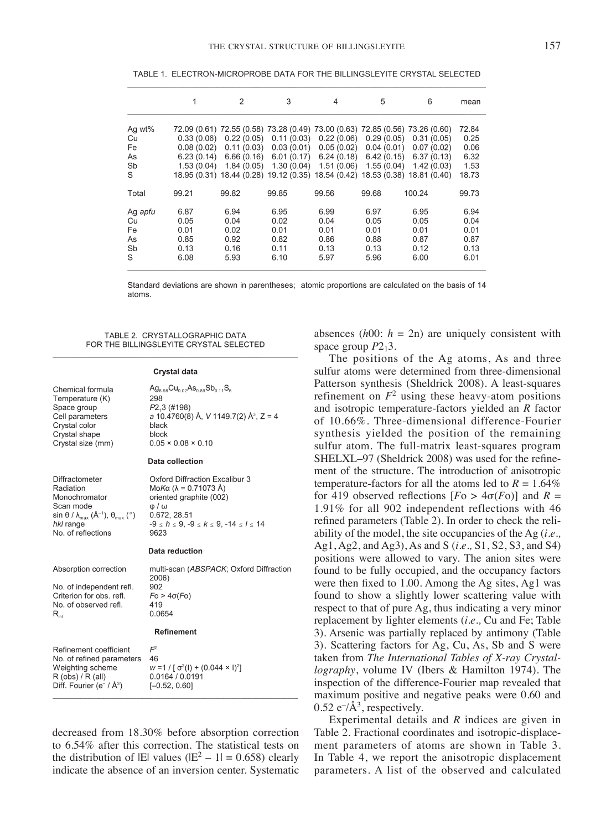|          |                          | $\overline{2}$           | 3                        | 4                                                                             | 5                        | 6                        | mean         |
|----------|--------------------------|--------------------------|--------------------------|-------------------------------------------------------------------------------|--------------------------|--------------------------|--------------|
| Ag wt%   |                          |                          |                          | 72.09 (0.61) 72.55 (0.58) 73.28 (0.49) 73.00 (0.63) 72.85 (0.56) 73.26 (0.60) |                          |                          | 72.84        |
| Cu<br>Fe | 0.33(0.06)<br>0.08(0.02) | 0.22(0.05)<br>0.11(0.03) | 0.11(0.03)<br>0.03(0.01) | 0.22(0.06)<br>0.05(0.02)                                                      | 0.29(0.05)<br>0.04(0.01) | 0.31(0.05)<br>0.07(0.02) | 0.25<br>0.06 |
| As<br>Sb | 6.23(0.14)<br>1.53(0.04) | 6.66(0.16)<br>1.84(0.05) | 6.01(0.17)<br>1.30(0.04) | 6.24(0.18)<br>1.51(0.06)                                                      | 6.42(0.15)<br>1.55(0.04) | 6.37(0.13)<br>1.42(0.03) | 6.32<br>1.53 |
| S        |                          |                          |                          | 18.95 (0.31) 18.44 (0.28) 19.12 (0.35) 18.54 (0.42) 18.53 (0.38) 18.81 (0.40) |                          |                          | 18.73        |
| Total    | 99.21                    | 99.82                    | 99.85                    | 99.56                                                                         | 99.68                    | 100.24                   | 99.73        |
| Ag apfu  | 6.87                     | 6.94                     | 6.95                     | 6.99                                                                          | 6.97                     | 6.95                     | 6.94         |
| Cu       | 0.05                     | 0.04                     | 0.02                     | 0.04                                                                          | 0.05                     | 0.05                     | 0.04         |
| Fe       | 0.01                     | 0.02                     | 0.01                     | 0.01                                                                          | 0.01                     | 0.01                     | 0.01         |
| As       | 0.85                     | 0.92                     | 0.82                     | 0.86                                                                          | 0.88                     | 0.87                     | 0.87         |
| Sb       | 0.13                     | 0.16                     | 0.11                     | 0.13                                                                          | 0.13                     | 0.12                     | 0.13         |
| S        | 6.08                     | 5.93                     | 6.10                     | 5.97                                                                          | 5.96                     | 6.00                     | 6.01         |

TABLE 1. ELECTRON-MICROPROBE DATA FOR THE BILLINGSLEYITE CRYSTAL SELECTED

Standard deviations are shown in parentheses; atomic proportions are calculated on the basis of 14 atoms.

TABLE 2. CRYSTALLOGRAPHIC DATA FOR THE BILLINGSLEYITE CRYSTAL SELECTED

#### Crystal data

| Chemical formula  | $Ag_{6.98}Cu_{0.02}As_{0.89}Sb_{0.11}S_8$          |
|-------------------|----------------------------------------------------|
| Temperature (K)   | 298                                                |
| Space group       | P2,3(#198)                                         |
| Cell parameters   | a 10.4760(8) Å, V 1149.7(2) Å <sup>3</sup> , Z = 4 |
| Crystal color     | black                                              |
| Crystal shape     | block                                              |
| Crystal size (mm) | $0.05 \times 0.08 \times 0.10$                     |
|                   |                                                    |
|                   | Data collection                                    |

 $\omega/\omega$  $0.672, 28.51$ 

9623 Data saduation

Oxford Diffraction Excalibur 3

 $-9 \le h \le 9, -9 \le k \le 9, -14 \le l \le 14$ 

MoΚα (λ = 0.71073 Å)

oriented graphite (002)

Diffractometer Radiation Monochromator Scan mode sin  $\theta$  /  $\lambda_{\rm max}$  (Å<sup>-1</sup>),  $\theta_{\rm max}$  ( $^{\circ}$ ) hkl range No. of reflections

|                                                     | Dala Teuuchun                                                   |
|-----------------------------------------------------|-----------------------------------------------------------------|
| Absorption correction                               | multi-scan (ABSPACK; Oxford Diffraction<br>2006)                |
| No. of independent refl.                            | 902                                                             |
| Criterion for obs. refl.                            | $F_0 > 4\sigma(F_0)$                                            |
| No. of observed refl.                               | 419                                                             |
| $R_{int}$                                           | 0.0654                                                          |
|                                                     | Refinement                                                      |
| Refinement coefficient<br>No. of refined parameters | $\mathcal{F}^2$<br>46                                           |
| Weighting scheme<br>R (obs) / R (all)               | $w = 1 / [\sigma^2(I) + (0.044 \times I)^2]$<br>0.0164 / 0.0191 |
| Diff. Fourier (e <sup>-</sup> / $A^3$ )             | $[-0.52, 0.60]$                                                 |
|                                                     |                                                                 |

decreased from 18.30% before absorption correction to 6.54% after this correction. The statistical tests on the distribution of  $|E|$  values  $(|E^2 - 1| = 0.658)$  clearly indicate the absence of an inversion center. Systematic absences  $(h00: h = 2n)$  are uniquely consistent with space group  $P2_13$ .

The positions of the Ag atoms, As and three sulfur atoms were determined from three-dimensional Patterson synthesis (Sheldrick 2008). A least-squares refinement on  $F^2$  using these heavy-atom positions and isotropic temperature-factors yielded an *R* factor of 10.66%. Three-dimensional difference-Fourier synthesis yielded the position of the remaining sulfur atom. The full-matrix least-squares program SHELXL–97 (Sheldrick 2008) was used for the refinement of the structure. The introduction of anisotropic temperature-factors for all the atoms led to  $R = 1.64\%$ for 419 observed reflections  $[Fe > 4\sigma(Fo)]$  and  $R =$ 1.91% for all 902 independent reflections with 46 refined parameters (Table 2). In order to check the reliability of the model, the site occupancies of the Ag (*i.e.,* Ag1, Ag2, and Ag3), As and S (*i.e.,* S1, S2, S3, and S4) positions were allowed to vary. The anion sites were found to be fully occupied, and the occupancy factors were then fixed to 1.00. Among the Ag sites, Ag1 was found to show a slightly lower scattering value with respect to that of pure Ag, thus indicating a very minor replacement by lighter elements (*i.e.,* Cu and Fe; Table 3). Arsenic was partially replaced by antimony (Table 3). Scattering factors for Ag, Cu, As, Sb and S were taken from *The International Tables of X-ray Crystallography*, volume IV (Ibers & Hamilton 1974). The inspection of the difference-Fourier map revealed that maximum positive and negative peaks were 0.60 and  $0.52 \text{ e}^{-}/\text{\AA}^3$ , respectively.

Experimental details and *R* indices are given in Table 2. Fractional coordinates and isotropic-displacement parameters of atoms are shown in Table 3. In Table 4, we report the anisotropic displacement parameters. A list of the observed and calculated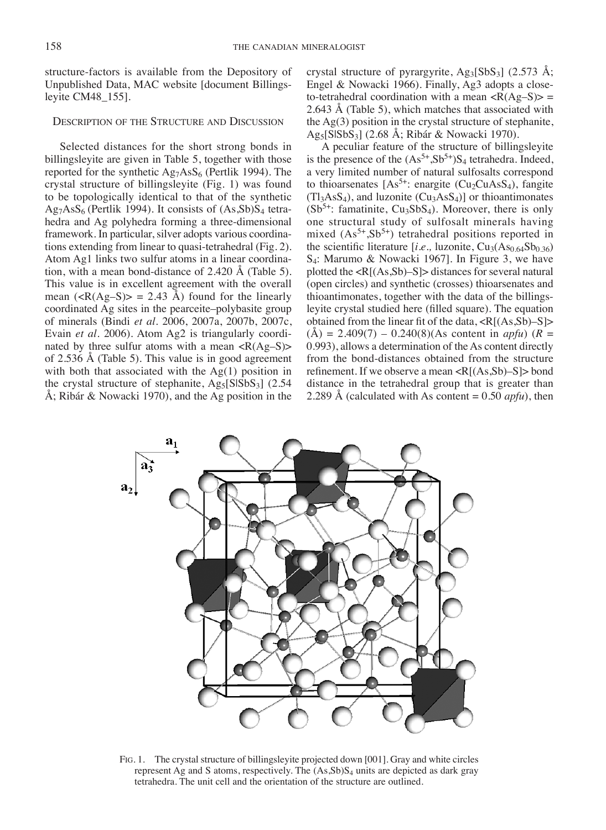structure-factors is available from the Depository of Unpublished Data, MAC website [document Billingsleyite CM48\_155].

### Description of the Structure and Discussion

Selected distances for the short strong bonds in billingsleyite are given in Table 5, together with those reported for the synthetic  $Ag<sub>7</sub>AsS<sub>6</sub>$  (Pertlik 1994). The crystal structure of billingsleyite (Fig. 1) was found to be topologically identical to that of the synthetic  $Ag<sub>7</sub>AsS<sub>6</sub>$  (Pertlik 1994). It consists of  $(As, Sb)S<sub>4</sub>$  tetrahedra and Ag polyhedra forming a three-dimensional framework. In particular, silver adopts various coordinations extending from linear to quasi-tetrahedral (Fig. 2). Atom Ag1 links two sulfur atoms in a linear coordination, with a mean bond-distance of 2.420 Å (Table 5). This value is in excellent agreement with the overall mean  $(\langle R(Ag-S) \rangle = 2.43 \text{ Å})$  found for the linearly coordinated Ag sites in the pearceite–polybasite group of minerals (Bindi *et al.* 2006, 2007a, 2007b, 2007c, Evain *et al.* 2006). Atom Ag2 is triangularly coordinated by three sulfur atoms with a mean  $\langle R(Ag-S) \rangle$ of 2.536 Å (Table 5). This value is in good agreement with both that associated with the Ag(1) position in the crystal structure of stephanite,  $Ag<sub>5</sub>[SISbS<sub>3</sub>]$  (2.54) Å; Ribár & Nowacki 1970), and the Ag position in the

crystal structure of pyrargyrite,  $Ag_3[SbS_3]$  (2.573 Å; Engel & Nowacki 1966). Finally, Ag3 adopts a closeto-tetrahedral coordination with a mean  $\langle R(Ag-S) \rangle$  = 2.643 Å (Table 5), which matches that associated with the Ag(3) position in the crystal structure of stephanite, Ag5[S|SbS3] (2.68 Å; Ribár & Nowacki 1970).

A peculiar feature of the structure of billingsleyite is the presence of the  $(As<sup>5+</sup>,Sb<sup>5+</sup>)S<sub>4</sub>$  tetrahedra. Indeed, a very limited number of natural sulfosalts correspond to thioarsenates  $[As<sup>5+</sup>:$  enargite (Cu<sub>2</sub>CuAsS<sub>4</sub>), fangite  $(Tl<sub>3</sub>AsS<sub>4</sub>)$ , and luzonite  $(Cu<sub>3</sub>AsS<sub>4</sub>)$  or thioantimonates  $(Sb<sup>5+</sup>: familiar, Cu<sub>3</sub>SbS<sub>4</sub>)$ . Moreover, there is only one structural study of sulfosalt minerals having mixed  $(As<sup>5+</sup>,Sb<sup>5+</sup>)$  tetrahedral positions reported in the scientific literature [ $i.e.,$  luzonite,  $Cu<sub>3</sub>(As<sub>0.64</sub>Sb<sub>0.36</sub>)$ ] S4: Marumo & Nowacki 1967]. In Figure 3, we have plotted the <R[(As,Sb)–S]> distances for several natural (open circles) and synthetic (crosses) thioarsenates and thioantimonates, together with the data of the billingsleyite crystal studied here (filled square). The equation obtained from the linear fit of the data, <R[(As,Sb)–S]>  $(A) = 2.409(7) - 0.240(8)$  (As content in *apfu*) ( $R =$ 0.993), allows a determination of the As content directly from the bond-distances obtained from the structure refinement. If we observe a mean <R[(As,Sb)–S]> bond distance in the tetrahedral group that is greater than 2.289 Å (calculated with As content = 0.50 *apfu*), then



Fig. 1. The crystal structure of billingsleyite projected down [001]. Gray and white circles represent Ag and S atoms, respectively. The (As,Sb)S4 units are depicted as dark gray tetrahedra. The unit cell and the orientation of the structure are outlined.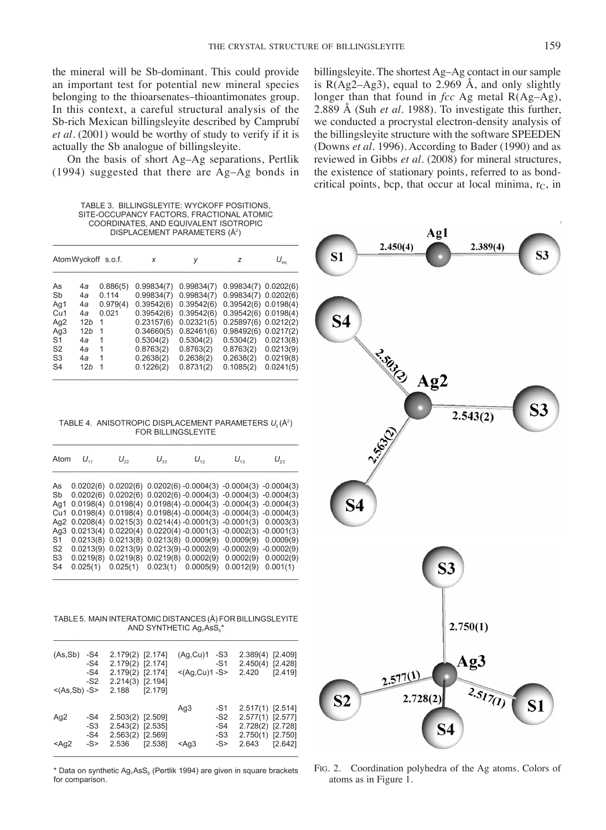the mineral will be Sb-dominant. This could provide an important test for potential new mineral species belonging to the thioarsenates–thioantimonates group. In this context, a careful structural analysis of the Sb-rich Mexican billingsleyite described by Camprubí *et al.* (2001) would be worthy of study to verify if it is actually the Sb analogue of billingsleyite.

On the basis of short Ag–Ag separations, Pertlik (1994) suggested that there are Ag–Ag bonds in

TABLE 3. BILLINGSLEYITE: WYCKOFF POSITIONS. SITE-OCCUPANCY FACTORS, FRACTIONAL ATOMIC COORDINATES, AND EQUIVALENT ISOTROPIC DISPLACEMENT PARAMETERS (Å<sup>2</sup>)

| AtomWyckoff s.o.f. |                 |          | x          | V          | z                        | $U_{\scriptscriptstyle{\text{eq}}}$ |  |
|--------------------|-----------------|----------|------------|------------|--------------------------|-------------------------------------|--|
| As                 | 4a              | 0.886(5) | 0.99834(7) | 0.99834(7) | 0.99834(7) 0.0202(6)     |                                     |  |
| Sb                 | 4a              | 0.114    | 0.99834(7) | 0.99834(7) | 0.99834(7) 0.0202(6)     |                                     |  |
| Ag1                | 4a              | 0.979(4) | 0.39542(6) | 0.39542(6) | $0.39542(6)$ $0.0198(4)$ |                                     |  |
| Cu <sub>1</sub>    | 4a              | 0.021    | 0.39542(6) | 0.39542(6) | $0.39542(6)$ $0.0198(4)$ |                                     |  |
| Ag2                | 12 <sub>b</sub> | 1        | 0.23157(6) | 0.02321(5) | $0.25897(6)$ $0.0212(2)$ |                                     |  |
| Ag3                | 12 <sub>b</sub> | 1        | 0.34660(5) | 0.82461(6) | $0.98492(6)$ $0.0217(2)$ |                                     |  |
| S <sub>1</sub>     | 4а              | 1        | 0.5304(2)  | 0.5304(2)  | 0.5304(2)                | 0.0213(8)                           |  |
| S <sub>2</sub>     | 4a              | 1        | 0.8763(2)  | 0.8763(2)  | 0.8763(2)                | 0.0213(9)                           |  |
| S <sub>3</sub>     | 4a              | 1        | 0.2638(2)  | 0.2638(2)  | 0.2638(2)                | 0.0219(8)                           |  |
| S <sub>4</sub>     | 12h             | 1        | 0.1226(2)  | 0.8731(2)  | 0.1085(2)                | 0.0241(5)                           |  |

TABLE 4. ANISOTROPIC DISPLACEMENT PARAMETERS U. (Å<sup>2</sup>) FOR BILLINGSLEYITE

|     | Atom $U_{11}$ | $U_{22}$ | $U_{33}$ | $U_{12}$ | $U_{12}$                                                                   | $U_{23}$ |
|-----|---------------|----------|----------|----------|----------------------------------------------------------------------------|----------|
| As  |               |          |          |          | $0.0202(6)$ $0.0202(6)$ $0.0202(6)$ $-0.0004(3)$ $-0.0004(3)$ $-0.0004(3)$ |          |
|     |               |          |          |          |                                                                            |          |
| Sb  |               |          |          |          | $0.0202(6)$ $0.0202(6)$ $0.0202(6)$ $-0.0004(3)$ $-0.0004(3)$ $-0.0004(3)$ |          |
| Aq1 |               |          |          |          | $0.0198(4)$ $0.0198(4)$ $0.0198(4)$ $-0.0004(3)$ $-0.0004(3)$ $-0.0004(3)$ |          |
|     |               |          |          |          | Cu1 0.0198(4) 0.0198(4) 0.0198(4) -0.0004(3) -0.0004(3) -0.0004(3)         |          |
|     |               |          |          |          | Ag2 0.0208(4) 0.0215(3) 0.0214(4) -0.0001(3) -0.0001(3) 0.0003(3)          |          |
|     |               |          |          |          | Ag3 0.0213(4) 0.0220(4) 0.0220(4) -0.0001(3) -0.0002(3) -0.0001(3)         |          |
| S1  |               |          |          |          | $0.0213(8)$ $0.0213(8)$ $0.0213(8)$ $0.0009(9)$ $0.0009(9)$ $0.0009(9)$    |          |
| S2  |               |          |          |          | $0.0213(9)$ $0.0213(9)$ $0.0213(9)$ $-0.0002(9)$ $-0.0002(9)$ $-0.0002(9)$ |          |
| S3  |               |          |          |          | $0.0219(8)$ $0.0219(8)$ $0.0219(8)$ $0.0002(9)$ $0.0002(9)$ $0.0002(9)$    |          |
| S4  |               |          |          |          | $0.025(1)$ $0.025(1)$ $0.023(1)$ $0.0005(9)$ $0.0012(9)$ $0.001(1)$        |          |
|     |               |          |          |          |                                                                            |          |

TABLE 5. MAIN INTERATOMIC DISTANCES (Å) FOR BILLINGSLEYITE AND SYNTHETIC Ag<sub>7</sub>AsS<sub>6</sub>'

| (As, Sb)<br><(As,Sb) -S> | -S4<br>$-S4$<br>$-S4$<br>$-S2$ | 2.179(2) [2.174]<br>2.179(2) [2.174]<br>2.179(2) [2.174]<br>2.214(3) [2.194]<br>2.188 | [2.179] | (Ag,Cu)1<br>$< (Ag.Cu)1-S>$ | -S3<br>$-S1$                           | 2.389(4) [2.409]<br>2.450(4) [2.428]<br>2.420                                         | [2.419] |
|--------------------------|--------------------------------|---------------------------------------------------------------------------------------|---------|-----------------------------|----------------------------------------|---------------------------------------------------------------------------------------|---------|
| Ag2<br>$<$ Ag2           | -S4<br>$-S3$<br>$-S4$<br>$-S$  | 2.503(2) [2.509]<br>2.543(2) [2.535]<br>2.563(2) [2.569]<br>2.536                     | [2.538] | Ag3<br>$<$ Ag3              | $-S1$<br>$-S2$<br>-S4<br>$-S3$<br>$-S$ | 2.517(1) [2.514]<br>2.577(1) [2.577]<br>2.728(2) [2.728]<br>2.750(1) [2.750]<br>2.643 | [2.642] |

\* Data on synthetic Ag<sub>7</sub>AsS<sub>6</sub> (Pertlik 1994) are given in square brackets for comparison.

billingsleyite. The shortest Ag–Ag contact in our sample is  $R(Ag2-Ag3)$ , equal to 2.969 Å, and only slightly longer than that found in *fcc* Ag metal R(Ag–Ag), 2.889 Å (Suh *et al*. 1988). To investigate this further, we conducted a procrystal electron-density analysis of the billingsleyite structure with the software SPEEDEN (Downs *et al.* 1996). According to Bader (1990) and as reviewed in Gibbs *et al.* (2008) for mineral structures, the existence of stationary points, referred to as bondcritical points, bcp, that occur at local minima,  $r<sub>C</sub>$ , in



Fig. 2. Coordination polyhedra of the Ag atoms. Colors of atoms as in Figure 1.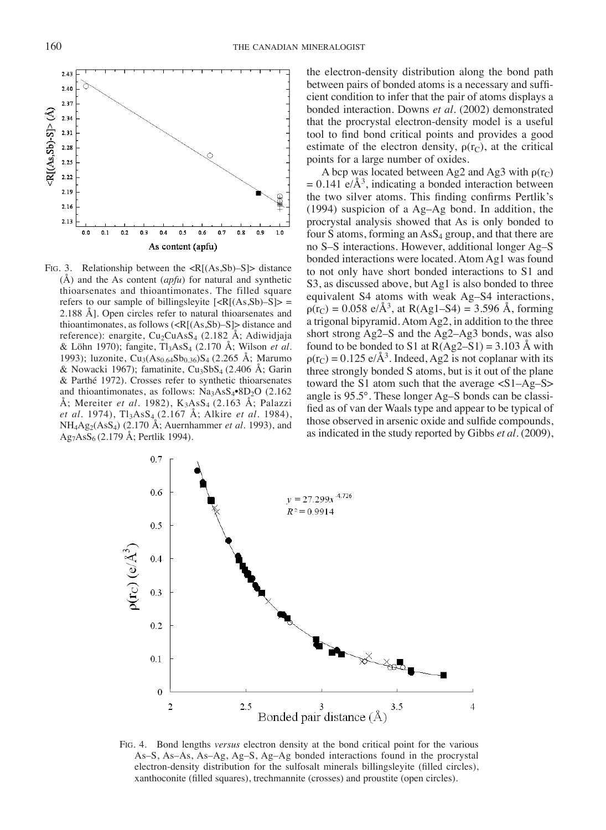

Fig. 3. Relationship between the <R[(As,Sb)–S]> distance (Å) and the As content (*apfu*) for natural and synthetic thioarsenates and thioantimonates. The filled square refers to our sample of billingsleyite  $[\langle R[(As, Sb) - S] \rangle]$ 2.188 Å]. Open circles refer to natural thioarsenates and thioantimonates, as follows  $\langle R[(As, Sb)-S]\rangle$  distance and reference): enargite,  $Cu<sub>2</sub>CuAsS<sub>4</sub>$  (2.182 Å; Adiwidjaja & Löhn 1970); fangite, Tl3AsS4 (2.170 Å; Wilson *et al.* 1993); luzonite,  $Cu_3(As_{0.64}Sb_{0.36})S_4$  (2.265 Å; Marumo & Nowacki 1967); famatinite,  $Cu<sub>3</sub>SbS<sub>4</sub>$  (2.406 A; Garin & Parthé 1972). Crosses refer to synthetic thioarsenates and thioantimonates, as follows:  $Na<sub>3</sub>AsS<sub>4</sub>•8D<sub>2</sub>O$  (2.162 Å; Mereiter *et al.* 1982), K<sub>3</sub>AsS<sub>4</sub> (2.163 Å; Palazzi *et al.* 1974), Tl<sub>3</sub>AsS<sub>4</sub> (2.167 Å; Alkire *et al.* 1984), NH4Ag2(AsS4) (2.170 Å; Auernhammer *et al.* 1993), and  $Ag<sub>7</sub>AsS<sub>6</sub> (2.179 Å; Pertlik 1994).$ 

the electron-density distribution along the bond path between pairs of bonded atoms is a necessary and sufficient condition to infer that the pair of atoms displays a bonded interaction. Downs *et al*. (2002) demonstrated that the procrystal electron-density model is a useful tool to find bond critical points and provides a good estimate of the electron density,  $\rho(r_C)$ , at the critical points for a large number of oxides.

A bcp was located between Ag2 and Ag3 with  $\rho(r_C)$  $= 0.141$  e/Å<sup>3</sup>, indicating a bonded interaction between the two silver atoms. This finding confirms Pertlik's (1994) suspicion of a Ag–Ag bond. In addition, the procrystal analysis showed that As is only bonded to four S atoms, forming an  $\text{AsS}_4$  group, and that there are no S–S interactions. However, additional longer Ag–S bonded interactions were located. Atom Ag1 was found to not only have short bonded interactions to S1 and S3, as discussed above, but Ag1 is also bonded to three equivalent S4 atoms with weak Ag–S4 interactions,  $p(r_C) = 0.058 \text{ e}/\text{\AA}^3$ , at R(Ag1–S4) = 3.596 Å, forming a trigonal bipyramid. Atom Ag2, in addition to the three short strong Ag2–S and the Ag2–Ag3 bonds, was also found to be bonded to S1 at  $R(Ag2-S1) = 3.103$  Å with  $p(r_C) = 0.125 \text{ e}/\text{\AA}^3$ . Indeed, Ag2 is not coplanar with its three strongly bonded S atoms, but is it out of the plane toward the S1 atom such that the average  $\langle$ S1–Ag–S $\rangle$ angle is 95.5°. These longer Ag–S bonds can be classified as of van der Waals type and appear to be typical of those observed in arsenic oxide and sulfide compounds, as indicated in the study reported by Gibbs *et al*. (2009),



Fig. 4. Bond lengths *versus* electron density at the bond critical point for the various As–S, As–As, As–Ag, Ag–S, Ag–Ag bonded interactions found in the procrystal electron-density distribution for the sulfosalt minerals billingsleyite (filled circles), xanthoconite (filled squares), trechmannite (crosses) and proustite (open circles).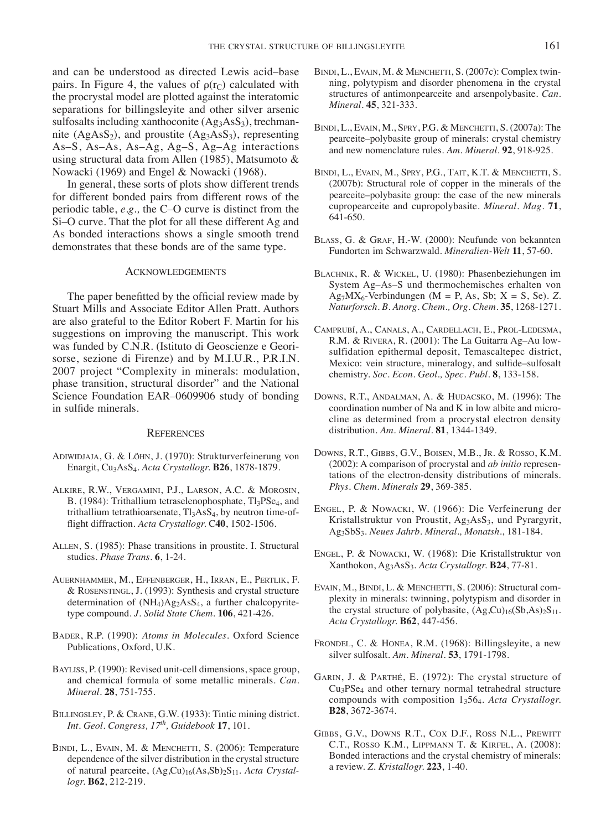and can be understood as directed Lewis acid–base pairs. In Figure 4, the values of  $\rho(r_C)$  calculated with the procrystal model are plotted against the interatomic separations for billingsleyite and other silver arsenic sulfosalts including xanthoconite  $(Ag_3AsS_3)$ , trechmannite  $(AgAsS<sub>2</sub>)$ , and proustite  $(Ag<sub>3</sub>AsS<sub>3</sub>)$ , representing As–S, As–As, As–Ag, Ag–S, Ag–Ag interactions using structural data from Allen (1985), Matsumoto & Nowacki (1969) and Engel & Nowacki (1968).

In general, these sorts of plots show different trends for different bonded pairs from different rows of the periodic table, *e.g.,* the C–O curve is distinct from the Si–O curve. That the plot for all these different Ag and As bonded interactions shows a single smooth trend demonstrates that these bonds are of the same type.

### Acknowledgements

The paper benefitted by the official review made by Stuart Mills and Associate Editor Allen Pratt. Authors are also grateful to the Editor Robert F. Martin for his suggestions on improving the manuscript. This work was funded by C.N.R. (Istituto di Geoscienze e Georisorse, sezione di Firenze) and by M.I.U.R., P.R.I.N. 2007 project "Complexity in minerals: modulation, phase transition, structural disorder" and the National Science Foundation EAR–0609906 study of bonding in sulfide minerals.

#### **REFERENCES**

- Adiwidjaja, G. & Löhn, J. (1970): Strukturverfeinerung von Enargit, Cu3AsS4. *Acta Crystallogr.* **B26**, 1878-1879.
- Alkire, R.W., Vergamini, P.J., Larson, A.C. & Morosin, B. (1984): Trithallium tetraselenophosphate, Tl<sub>3</sub>PSe<sub>4</sub>, and trithallium tetrathioarsenate,  $Tl_3AsS_4$ , by neutron time-offlight diffraction. *Acta Crystallogr.* C**40**, 1502-1506.
- Allen, S. (1985): Phase transitions in proustite. I. Structural studies. *Phase Trans.* **6**, 1-24.
- Auernhammer, M., Effenberger, H., Irran, E., Pertlik, F. & Rosenstingl, J. (1993): Synthesis and crystal structure determination of  $(NH_4)Ag_2AsS_4$ , a further chalcopyritetype compound. *J. Solid State Chem.* **106**, 421-426.
- Bader, R.P. (1990): *Atoms in Molecules*. Oxford Science Publications, Oxford, U.K.
- BAYLISS, P. (1990): Revised unit-cell dimensions, space group, and chemical formula of some metallic minerals. *Can. Mineral.* **28**, 751-755.
- Billingsley, P. & Crane, G.W. (1933): Tintic mining district. *Int. Geol. Congress, 17th, Guidebook* **17**, 101.
- BINDI, L., EVAIN, M. & MENCHETTI, S. (2006): Temperature dependence of the silver distribution in the crystal structure of natural pearceite,  $(Ag,Cu)_{16}(As,Sb)_{2}S_{11}$ . *Acta Crystallogr.* **B62**, 212-219.
- BINDI, L., EVAIN, M. & MENCHETTI, S. (2007c): Complex twinning, polytypism and disorder phenomena in the crystal structures of antimonpearceite and arsenpolybasite. *Can. Mineral.* **45**, 321-333.
- Bindi, L., Evain, M., Spry, P.G. & Menchetti, S. (2007a): The pearceite–polybasite group of minerals: crystal chemistry and new nomenclature rules. *Am. Mineral.* **92**, 918-925.
- BINDI, L., EVAIN, M., SPRY, P.G., TAIT, K.T. & MENCHETTI, S. (2007b): Structural role of copper in the minerals of the pearceite–polybasite group: the case of the new minerals cupropearceite and cupropolybasite. *Mineral. Mag.* **71**, 641-650.
- Blass, G. & Graf, H.-W. (2000): Neufunde von bekannten Fundorten im Schwarzwald. *Mineralien-Welt* **11**, 57-60.
- Blachnik, R. & Wickel, U. (1980): Phasenbeziehungen im System Ag–As–S und thermochemisches erhalten von  $Ag<sub>7</sub>MX<sub>6</sub>$ -Verbindungen (M = P, As, Sb; X = S, Se). Z. *Naturforsch. B. Anorg. Chem., Org. Chem.* **35**, 1268-1271.
- Camprubí, A., Canals, A., Cardellach, E., Prol-Ledesma, R.M. & Rivera, R. (2001): The La Guitarra Ag–Au lowsulfidation epithermal deposit, Temascaltepec district, Mexico: vein structure, mineralogy, and sulfide–sulfosalt chemistry. *Soc. Econ. Geol., Spec. Publ.* **8**, 133-158.
- Downs, R.T., Andalman, A. & Hudacsko, M. (1996): The coordination number of Na and K in low albite and microcline as determined from a procrystal electron density distribution. *Am. Mineral.* **81**, 1344-1349.
- Downs, R.T., Gibbs, G.V., Boisen, M.B., Jr. & Rosso, K.M. (2002): A comparison of procrystal and *ab initio* representations of the electron-density distributions of minerals. *Phys. Chem. Minerals* **29**, 369-385.
- Engel, P. & Nowacki, W. (1966): Die Verfeinerung der Kristallstruktur von Proustit,  $Ag<sub>3</sub>AsS<sub>3</sub>$ , und Pyrargyrit, Ag3SbS3. *Neues Jahrb. Mineral., Monatsh.*, 181-184.
- Engel, P. & Nowacki, W. (1968): Die Kristallstruktur von Xanthokon, Ag3AsS3. *Acta Crystallogr.* **B24**, 77-81.
- EVAIN, M., BINDI, L. & MENCHETTI, S. (2006): Structural complexity in minerals: twinning, polytypism and disorder in the crystal structure of polybasite,  $(Ag,Cu)_{16}(Sb,As)_{2}S_{11}$ . *Acta Crystallogr.* **B62**, 447-456.
- Frondel, C. & Honea, R.M. (1968): Billingsleyite, a new silver sulfosalt. *Am. Mineral.* **53**, 1791-1798.
- Garin, J. & Parthé, E. (1972): The crystal structure of Cu3PSe4 and other ternary normal tetrahedral structure compounds with composition 13564. *Acta Crystallogr.* **B28**, 3672-3674.
- Gibbs, G.V., Downs R.T., Cox D.F., Ross N.L., Prewitt C.T., Rosso K.M., Lippmann T. & Kirfel, A. (2008): Bonded interactions and the crystal chemistry of minerals: a review. *Z. Kristallogr.* **223**, 1-40.